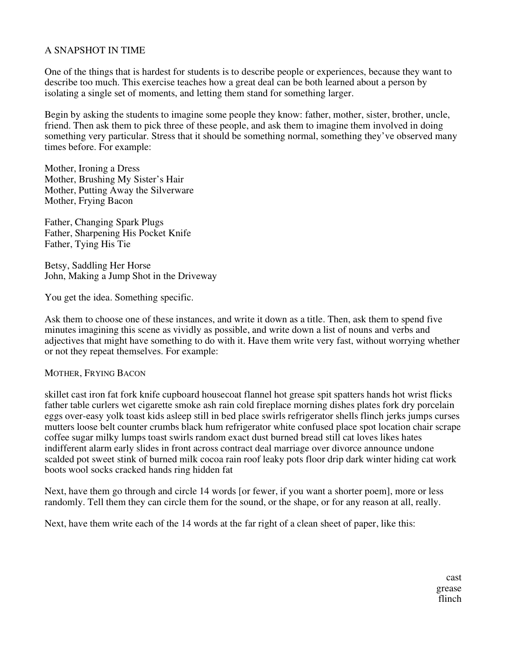# A SNAPSHOT IN TIME

One of the things that is hardest for students is to describe people or experiences, because they want to describe too much. This exercise teaches how a great deal can be both learned about a person by isolating a single set of moments, and letting them stand for something larger.

Begin by asking the students to imagine some people they know: father, mother, sister, brother, uncle, friend. Then ask them to pick three of these people, and ask them to imagine them involved in doing something very particular. Stress that it should be something normal, something they've observed many times before. For example:

Mother, Ironing a Dress Mother, Brushing My Sister's Hair Mother, Putting Away the Silverware Mother, Frying Bacon

Father, Changing Spark Plugs Father, Sharpening His Pocket Knife Father, Tying His Tie

Betsy, Saddling Her Horse John, Making a Jump Shot in the Driveway

You get the idea. Something specific.

Ask them to choose one of these instances, and write it down as a title. Then, ask them to spend five minutes imagining this scene as vividly as possible, and write down a list of nouns and verbs and adjectives that might have something to do with it. Have them write very fast, without worrying whether or not they repeat themselves. For example:

#### MOTHER, FRYING BACON

skillet cast iron fat fork knife cupboard housecoat flannel hot grease spit spatters hands hot wrist flicks father table curlers wet cigarette smoke ash rain cold fireplace morning dishes plates fork dry porcelain eggs over-easy yolk toast kids asleep still in bed place swirls refrigerator shells flinch jerks jumps curses mutters loose belt counter crumbs black hum refrigerator white confused place spot location chair scrape coffee sugar milky lumps toast swirls random exact dust burned bread still cat loves likes hates indifferent alarm early slides in front across contract deal marriage over divorce announce undone scalded pot sweet stink of burned milk cocoa rain roof leaky pots floor drip dark winter hiding cat work boots wool socks cracked hands ring hidden fat

Next, have them go through and circle 14 words [or fewer, if you want a shorter poem], more or less randomly. Tell them they can circle them for the sound, or the shape, or for any reason at all, really.

Next, have them write each of the 14 words at the far right of a clean sheet of paper, like this:

cast grease flinch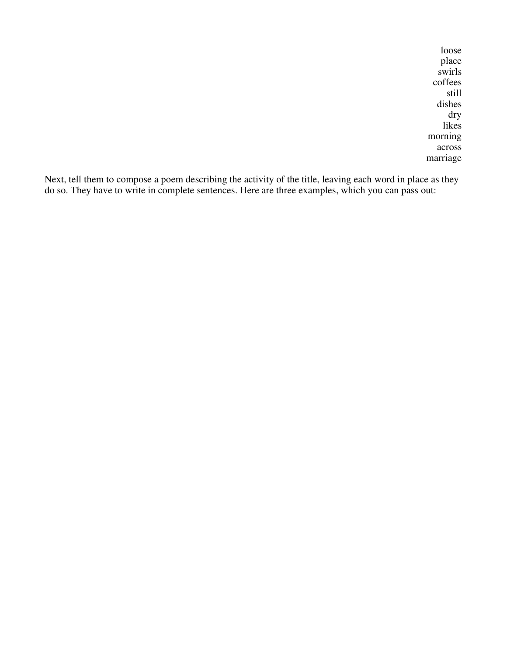loose place swirls coffees still dishes dry likes morning across marriage

Next, tell them to compose a poem describing the activity of the title, leaving each word in place as they do so. They have to write in complete sentences. Here are three examples, which you can pass out: